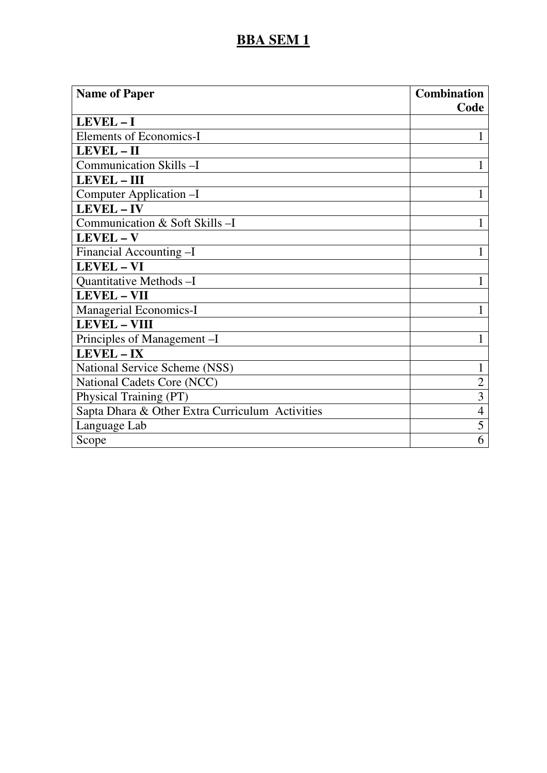| <b>Name of Paper</b>                            | <b>Combination</b> |
|-------------------------------------------------|--------------------|
|                                                 | Code               |
| LEVEL-I                                         |                    |
| <b>Elements of Economics-I</b>                  | 1                  |
| <b>LEVEL-II</b>                                 |                    |
| Communication Skills-I                          | 1                  |
| <b>LEVEL-III</b>                                |                    |
| Computer Application -I                         | 1                  |
| <b>LEVEL-IV</b>                                 |                    |
| Communication & Soft Skills-I                   | 1                  |
| LEVEL-V                                         |                    |
| Financial Accounting -I                         | 1                  |
| <b>LEVEL - VI</b>                               |                    |
| Quantitative Methods-I                          | 1                  |
| <b>LEVEL - VII</b>                              |                    |
| <b>Managerial Economics-I</b>                   |                    |
| <b>LEVEL - VIII</b>                             |                    |
| Principles of Management-I                      | 1                  |
| LEVEL - IX                                      |                    |
| National Service Scheme (NSS)                   | 1                  |
| National Cadets Core (NCC)                      | $\overline{2}$     |
| Physical Training (PT)                          | 3                  |
| Sapta Dhara & Other Extra Curriculum Activities | $\overline{4}$     |
| Language Lab                                    | 5                  |
| Scope                                           | 6                  |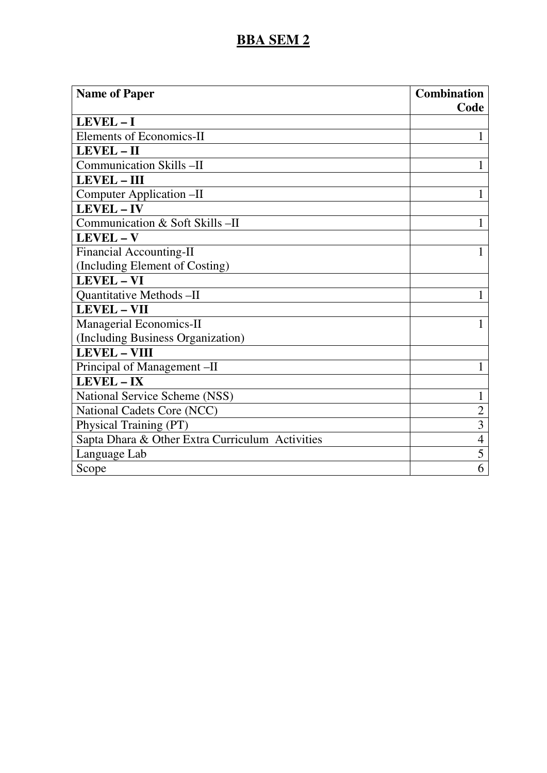| <b>Name of Paper</b>                            | <b>Combination</b> |
|-------------------------------------------------|--------------------|
| LEVEL-I                                         | Code               |
| <b>Elements of Economics-II</b>                 | 1                  |
| LEVEL-II                                        |                    |
| <b>Communication Skills -II</b>                 |                    |
| LEVEL - III                                     |                    |
| Computer Application -II                        | 1                  |
| LEVEL-IV                                        |                    |
| Communication & Soft Skills-II                  | 1                  |
| LEVEL - V                                       |                    |
| <b>Financial Accounting-II</b>                  | 1                  |
| (Including Element of Costing)                  |                    |
| <b>LEVEL - VI</b>                               |                    |
| Quantitative Methods - II                       | 1                  |
| <b>LEVEL - VII</b>                              |                    |
| <b>Managerial Economics-II</b>                  | 1                  |
| (Including Business Organization)               |                    |
| <b>LEVEL - VIII</b>                             |                    |
| Principal of Management -II                     | $\mathbf{1}$       |
| <b>LEVEL-IX</b>                                 |                    |
| National Service Scheme (NSS)                   | 1                  |
| National Cadets Core (NCC)                      | $\overline{2}$     |
| Physical Training (PT)                          | $\overline{3}$     |
| Sapta Dhara & Other Extra Curriculum Activities | $\overline{4}$     |
| Language Lab                                    | 5                  |
| Scope                                           | 6                  |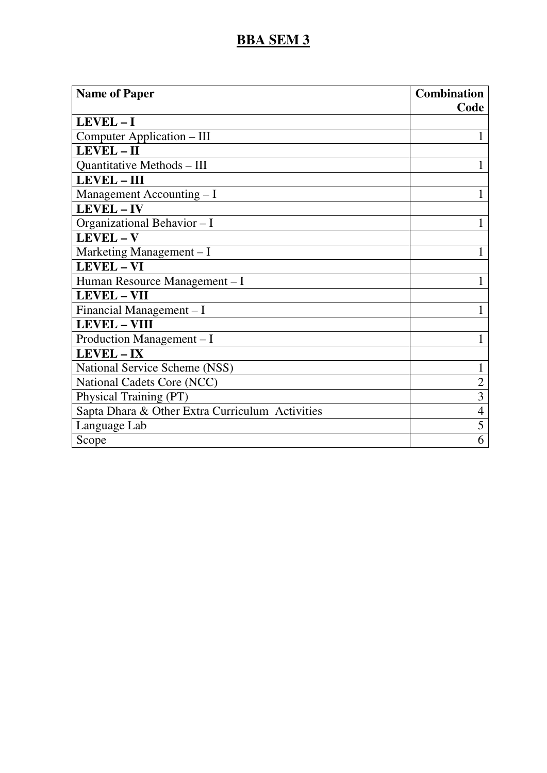| <b>Name of Paper</b>                            | <b>Combination</b> |
|-------------------------------------------------|--------------------|
|                                                 | Code               |
| LEVEL-I                                         |                    |
| Computer Application – III                      | 1                  |
| LEVEL-II                                        |                    |
| <b>Quantitative Methods - III</b>               |                    |
| LEVEL - III                                     |                    |
| Management Accounting $-I$                      | 1                  |
| LEVEL - IV                                      |                    |
| Organizational Behavior - I                     | 1                  |
| LEVEL-V                                         |                    |
| Marketing Management - I                        | 1                  |
| LEVEL - VI                                      |                    |
| Human Resource Management - I                   |                    |
| <b>LEVEL - VII</b>                              |                    |
| Financial Management - I                        |                    |
| <b>LEVEL - VIII</b>                             |                    |
| Production Management - I                       | 1                  |
| LEVEL-IX                                        |                    |
| National Service Scheme (NSS)                   | 1                  |
| National Cadets Core (NCC)                      | $\overline{2}$     |
| Physical Training (PT)                          | 3                  |
| Sapta Dhara & Other Extra Curriculum Activities | $\overline{4}$     |
| Language Lab                                    | 5                  |
| Scope                                           | 6                  |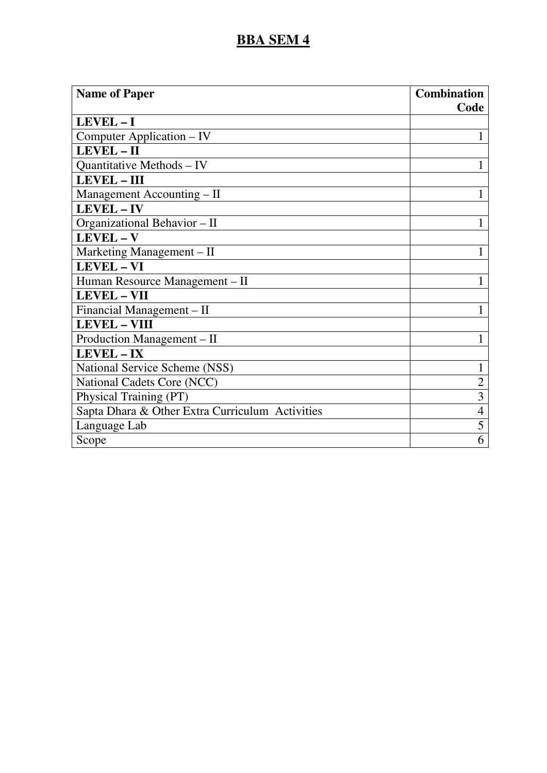| <b>Name of Paper</b>                            | <b>Combination</b> |
|-------------------------------------------------|--------------------|
|                                                 | Code               |
| LEVEL-I                                         |                    |
| Computer Application – IV                       | 1                  |
| LEVEL-II                                        |                    |
| Quantitative Methods - IV                       | 1                  |
| LEVEL - III                                     |                    |
| Management Accounting – II                      | 1                  |
| LEVEL - IV                                      |                    |
| Organizational Behavior - II                    | 1                  |
| LEVEL-V                                         |                    |
| Marketing Management - II                       | 1                  |
| LEVEL - VI                                      |                    |
| Human Resource Management - II                  | 1                  |
| <b>LEVEL - VII</b>                              |                    |
| Financial Management - II                       |                    |
| <b>LEVEL - VIII</b>                             |                    |
| Production Management - II                      | 1                  |
| LEVEL-IX                                        |                    |
| National Service Scheme (NSS)                   | 1                  |
| National Cadets Core (NCC)                      | $\overline{2}$     |
| Physical Training (PT)                          | 3                  |
| Sapta Dhara & Other Extra Curriculum Activities | $\overline{4}$     |
| Language Lab                                    | 5                  |
| Scope                                           | 6                  |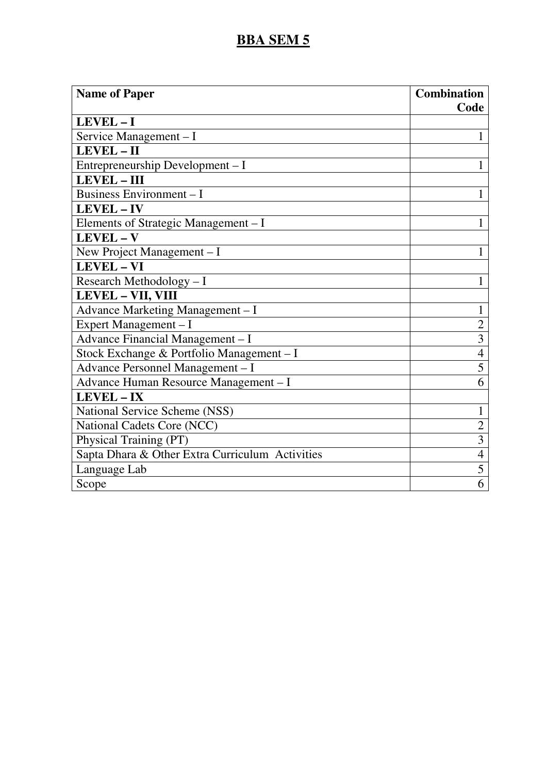| <b>Name of Paper</b>                            | <b>Combination</b><br>Code |
|-------------------------------------------------|----------------------------|
| LEVEL-I                                         |                            |
| Service Management - I                          | 1                          |
| LEVEL-II                                        |                            |
| Entrepreneurship Development - I                | $\mathbf{1}$               |
| <b>LEVEL - III</b>                              |                            |
| Business Environment - I                        | 1                          |
| LEVEL-IV                                        |                            |
| Elements of Strategic Management - I            | $\mathbf{1}$               |
| LEVEL - V                                       |                            |
| New Project Management - I                      | $\mathbf{1}$               |
| <b>LEVEL - VI</b>                               |                            |
| Research Methodology - I                        | 1                          |
| LEVEL - VII, VIII                               |                            |
| Advance Marketing Management - I                | 1                          |
| Expert Management - I                           | $\overline{2}$             |
| Advance Financial Management - I                | $\overline{3}$             |
| Stock Exchange & Portfolio Management - I       | $\overline{4}$             |
| Advance Personnel Management - I                | 5                          |
| Advance Human Resource Management - I           | 6                          |
| <b>LEVEL - IX</b>                               |                            |
| National Service Scheme (NSS)                   | $\mathbf{1}$               |
| National Cadets Core (NCC)                      | $\overline{2}$             |
| Physical Training (PT)                          | 3                          |
| Sapta Dhara & Other Extra Curriculum Activities | $\overline{4}$             |
| Language Lab                                    | 5                          |
| Scope                                           | 6                          |